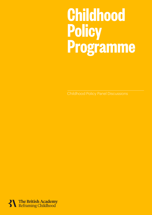# Childhood Policy Programme – Panel Discussions 1 **Childhood Policy Programme**

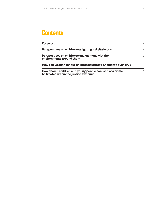## **Contents**

| <b>Foreword</b>                                                                                  | 3  |
|--------------------------------------------------------------------------------------------------|----|
| Perspectives on children navigating a digital world                                              | 5  |
| Perspectives on children's engagement with the<br>environments around them                       | 9  |
| How can we plan for our children's futures? Should we even try?                                  | 15 |
| How should children and young people accused of a crime<br>be treated within the justice system? | 19 |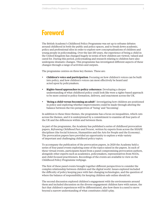### **Foreword**

The British Academy's Childhood Policy Programme was set up to reframe debates around childhood in both the public and policy spaces, and to break down academic, policy and professional silos in order to explore new conceptualisations of children and young people in policymaking. Over the last 150 years, the experience of being a child in the United Kingdom has changed hugely in terms of how children are viewed, valued and cared for. During this period, policymaking and research relating to children have also undergone dramatic changes. This programme has investigated different aspects of these changes through a range of activities and outputs.

The programme centres on three key themes. These are:

- **Children's voice and participation**: Focusing on how children's voices can be built into policy, and how children's voices can most effectively be heard and acted upon by policymakers.
- **Rights-based approaches to policy coherence:** Developing a deeper understanding of what childhood policy could look like were a rights-based approach to be more central to policy formation, delivery, and enactment across the UK.
- **'Being a child versus becoming an adult':** Investigating how children are positioned in policy and exploring whether improvements could be made through altering the balance between the two perspectives of 'being' and 'becoming'.

In addition to these three themes, the programme has a focus on inequalities, which cuts across the themes, and it is underpinned by a commitment to examine all four parts of the UK and the differences within and between them.

As part of the programme, the Academy has published a series of [childhood provocation](https://medium.com/reframing-childhood-past-and-present)  [papers,](https://medium.com/reframing-childhood-past-and-present) *[Reframing Childhood Past and Present](https://medium.com/reframing-childhood-past-and-present),* written by experts from across the SHAPE disciplines (the Social Sciences, Humanities and the Arts for People and the Economy). The provocation papers have provided an opportunity to explore a wide variety of important and challenging childhood policy topics.

To accompany the publication of the provocation papers, in 2020 the Academy held a series of four panel events exploring some of the topics raised in the papers. In each of these virtual events, participants heard from a panel compromising provocation authors, alongside other experts such as academics, policymakers, representatives from NGOs, and child-focused practitioners. Recordings of the events are available to view on the [Childhood Policy Programme](https://www.thebritishacademy.ac.uk/programmes/childhood/) webpage.

The [first of these panel events](#page-4-0) brought together different perspectives to consider the complex relationship between children and the digital world. Issues explored included the difficulty of policy keeping pace with fast-changing technologies, and the question of where the balance of responsibility for keeping children safe online should sit.

The [second discussion](#page-8-0) explored children's engagement with the environments around them and included discussion on the diverse engagement children have with nature, the fact that children's experiences will be differentiated, also how there is a need to move beyond a narrow understanding of what constitutes child's play.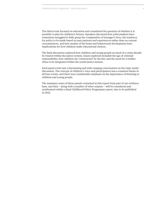The [third event](#page-14-0) focused on education and considered the question of whether it is possible to plan for children's futures. Speakers discussed how policymakers have sometimes struggled to fully grasp the complexities of teenager's lives, the tendency for policy to be made based on past patterns and experiences rather than on current circumstances, and how studies of the brain and behavioural development have implications for how children make educational choices.

The [final discussion](#page-18-0) explored how children and young people accused of a crime should be treated within the justice system. Issues explored included the age of criminal responsibility, how children are 'constructed' by the law, and the need for a welfare ethos to be integrated within the youth justice system.

Each panel event saw a fascinating and wide-ranging conversation on the topic under discussion. The concept of children's voice and participation was a common theme in all four events, and there was considerable emphasis on the importance of listening to children and young people.

The summary notes of these panels contained in this report form part of our evidence base, and they – along with a number of other outputs – will be considered and synthesised within a final Childhood Policy Programme report, due to be published in 2022.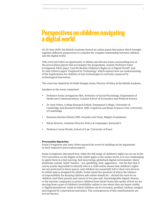### <span id="page-4-0"></span>**Perspectives on children navigating a digital world**

On 25 June 2020, the British Academy hosted an online panel discussion which brought together different perspectives to consider the complex relationship between children and the digital world.

This event provided an opportunity to debate and discuss issues surrounding two of the provocation papers that accompany the programme, namely Professor Sonia Livingstone FBA's paper ['Can We Realise Children's Rights In A Digital World?' a](https://medium.com/reframing-childhood-past-and-present/can-we-realise-childrens-rights-in-a-digital-world-d4f5f19f298f)nd Dr Amy Orben's paper ['Outpaced by Technology'](https://medium.com/reframing-childhood-past-and-present/outpaced-by-technology-ee9747b9d727) which explore how our understanding of the implications for children of new technologies is currently outpaced by technological innovation.

The event was chaired by Dr Molly Morgan Jones, Director of Policy at the British Academy.

Speakers at the event comprised:

- Professor Sonia Livingstone FBA, Professor of Social Psychology, Department of Media and Communications, London School of Economics and Political Science
- Dr Amy Orben, College Research Fellow, Emmanuel College, University of Cambridge and Research Fellow, MRC Cognition and Brain Sciences Unit, University of Cambridge
- Baroness Beeban Kidron OBE, Founder and Chair, 5Rights Foundation
- Rhian Beynon, Assistant Director Policy & Campaigns, Barnardo's
- • Professor Lorna Woods, School of Law, University of Essex

### **Provocation Speeches**

Sonia Livingstone and Amy Orben opened the event by building on the arguments in their respective provocation papers.

Sonia Livingstone discussed how, while the full range of children's rights (as set out in the UN Convention on the Rights of the Child) apply to the online world, it is very challenging to apply them in a fast-moving, fast-innovating, globalised digital environment. Many platforms contain 'adult' themes – sex, gambling, hate, aggression – but the fact that it can be nearly impossible to identify who is a child online means that children's rights are not protected in these spaces, and children are essentially left to their own devices in online spaces designed for adults. Sonia raised the question of where the balance of responsibility for keeping children safe online should sit – should the onus be on children (and their parents and carers) to become safe, knowledgeable digital citizens, or the internet companies to protect children from harm? Sonia also spoke of how we are moving from a past of children's invisibility online to one where they are hyper-visible. A 'digital panopticon' exists in which children can be recorded, profiled, tracked, nudged and targeted by corporations and states. The consequences of this transformation are not yet known.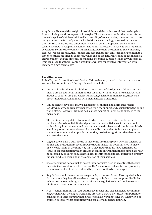Amy Orben discussed the insights into children and the online world that can be gained from exploring reactions to past technologies. There are some similarities: reports from the 1940s spoke of children 'addicted' to the radio, of concerns they spent too much time doing this and the fears of parents who feel this new technology is something beyond their control. There are also differences, a key one being the speed at which online technology now develops and changes. The ability of research to keep up with rapid and accelerating online development is a challenge. Research, by design, is a slow-moving, rigorous, robust process. Also, funders and researchers may only turn their attention to a topic once there are already concerns, which can be too late. Amy spoke of 'technological entrenchment' and the difficulty of changing a technology after it is already widespread. This can mean that there is only a small time window for effective intervention with regards to a new technology.

### **Panel Responses**

Rhian Beynon, Lorna Woods and Beeban Kidron then responded to the two provocation authors. Points put forward during this section include:

- Vulnerability is inherent in childhood, but aspects of the digital world, such as social media, create additional vulnerabilities for children at different life stages. Certain groups of children are particularly vulnerable, such as children in care, those who have suffered abuse, and those with mental health difficulties.
- Online technology offers many advantages to children, and during the recent lockdown many children have benefited from the support and socialisation the online world offers. However, this must be balanced against children being exposed to the many risks.
- The pre-internet regulatory framework which makes the distinction between publishers (who have liability) and platforms (who don't) does not translate well online. Many internet services do not sit neatly in this framework, but instead inhabit a middle ground between the two. Social media companies, for instance, might not create the content on their platforms but they do design algorithms that determine who sees the content.
- • Organisations have a duty of care to those who use their spaces, whether physical or online, and must design spaces in a way that mitigates the potential risks to those likely to use them. In the same way that a playground should have certain safety features, an organisation which creates an online environment that is aimed at or can be accessed by children should have a risk-identification and risk-mitigation strategy in their product design and in the operation of their services.
- Society shouldn't be so quick to accept 'new normals', such as accepting that social media in its current form is here to stay. If a 'new normal' is harmful and producing poor outcomes for children, it should be possible for it to be challenged.
- Regulation should be seen as non-negotiable, not as an add-on. Also, regulation is a floor, not a ceiling: it outlines what is unacceptable, but it does not prescribe limits to how positive something can be. In this sense, regulation should not be seen as a hindrance to creativity and innovation.
- A cost/benefit framing that sets out the advantages and disadvantages of children's engagement with the digital world only provides a partial picture. It is important to consider the bigger picture: what kind of world do we want to live in? What world do children deserve? What conditions will best allow children to flourish?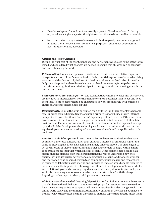- • "Freedom of speech" should not necessarily equate to "freedom of reach": the right to speak does not give a speaker the right to access the maximum audience possible.
- • Tech companies having the freedom to reach children partly in order to nudge and influence them – especially for commercial purposes – should not be something that is unquestionably accepted.

### **Actions and Policy Changes**

During the final part of the event, panellists and participants discussed some of the topics raised and considered what changes are needed to ensure that children can engage with and flourish in a digital world.

*Prioritisation:* Honest and open conversations are required on the relative importance of aspects such as children's mental health, their potential exposure to abuse, advertising revenue, and the freedom of platforms to distribute information (and mis-information). Only once the priorities have been clearly articulated can meaningful steps be taken towards improving children's relationship with the digital world and moving towards the desired outcomes.

*Children's voice and participation:* It is essential that children's voices and perspectives are included in discussions on how the digital world can best meet their needs and keep them safe. The tech sector should be encouraged to work productively with children's charities and other stakeholders on this.

*Responsibility:* Should the onus be primarily on children (and their parents) to become safe, knowledgeable digital citizens, or should primary responsibility sit with internet companies to protect children from harm? Expecting children to 'defend' themselves in an environment that has not been designed with them in mind does not feel like a fair environment. Parents, and vulnerable parents in particular, cannot be expected to keep up with all of the developments in technologies. Instead, the online world needs to be regulated: governments have a duty of care, and sanctions should be applied when rules are broken.

*A multi stakeholder approach:* Tech companies are largely organisations that have commercial interests at heart, rather than children's interests or children's rights, and some of these organisations have remained largely unaccountable. The challenge is to get the interests of these organisations and other stakeholders to align, within a more cooperative model than that which exists at present. Other stakeholders need to have strong ongoing dialogue with these organisations in order to understand how they operate, with policy circles actively encouraging such dialogue. Additionally, stronger and more open relationships between tech companies, policy makers and researchers, in terms of collaboration, data sharing and knowledge transfer, would enable research to better evidence the impacts of technology on children. A development of frameworks for such relationships could encourage rapid research into newly developing technologies while also balancing access to user data by researchers (or others) with the danger of imposing another layer of privacy infringement on the users.

*Global perspectives needed:* 'Meaningful participation' is vital. It is not enough to ensure that children in the Global South have access to laptops, for instance: they also need to have the necessary software, support and knowhow required in order to engage with the online world safely and meaningfully. Additionally, children in the Global South need to be able to have their voices heard in discussions on these topics that directly affect them.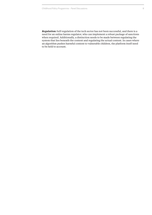*Regulation:* Self-regulation of the tech sector has not been successful, and there is a need for an online harms regulator, who can implement a robust package of sanctions when required. Additionally, a distinction needs to be made between regulating the system that lies beneath the content and regulating the actual content. In cases where an algorithm pushes harmful content to vulnerable children, the platform itself need to be held to account.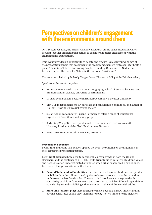### <span id="page-8-0"></span>**Perspectives on children's engagement with the environments around them**

On 9 September 2020, the British Academy hosted an online panel discussion which brought together different perspectives to consider children's engagement with the environments around them.

This event provided an opportunity to debate and discuss issues surrounding two of the provocation papers that accompany the programme, namely Professor Peter Kraftl's pape[r 'Including Children and Young People in Building Cities' a](https://medium.com/reframing-childhood-past-and-present/can-we-realise-childrens-rights-in-a-digital-world-d4f5f19f298f)nd Dr Nadia von Benzon's paper ['The Need for Nature in the National Curriculum'.](https://medium.com/reframing-childhood-past-and-present/outpaced-by-technology-ee9747b9d727)

The event was chaired by Dr Molly Morgan Jones, Director of Policy at the British Academy.

Speakers at the event comprised:

- Professor Peter Kraftl, Chair in Human Geography, School of Geography, Earth and Environmental Sciences, University of Birmingham
- Dr Nadia von Benzon, Lecturer in Human Geography, Lancaster University
- Tim Gill, independent scholar, advocate and consultant on childhood, and author of No Fear: Growing up in a risk averse society
- Susan Aglionby, founder of Susan's Farm which offers a range of educational experiences for children and young people
- Judy Ling Wong CBE, poet, painter and environmentalist, best known as the Honorary President of the Black Environment Network
- Matt Larsen-Daw, Education Manager, WWF-UK

#### **Provocation Speeches**

Peter Kraftl and Nadia von Benzon opened the event by building on the arguments in their respective provocation papers.

Peter Kraftl discussed how, despite considerable urban growth in both the UK and elsewhere, and the existence of a UNICEF child-friendly cities initiative, children's voices and needs are often underestimated or ignored when urban spaces are being designed. Peter raised four provocations on this theme:

- **1. Beyond 'independent' mobilities:** there has been a focus on children's independent mobilities (how far children travel by themselves) and concern over the reduction in this over the last few decades. However, this focus does not recognise the full complexity of children's movements, and the extent to which children do spend time outside playing and socialising either alone, with other children or with adults.
- **2. More than (child's) play:** there is a need to move beyond a narrow understanding of what constitutes child's play. Planning for play is often limited to the inclusion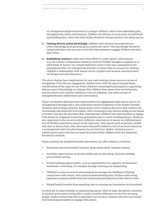of a designated playground aimed at younger children, rather than embedding play throughout the urban environment. Children do still play in areas such as wastelands and building sites, and so this kind of play should be incorporated in new urban spaces.

- **3. Valuing diverse urban knowledge:** children often possess deep and diverse urban knowledge from growing up in a particular space. This knowledge should be valued and taken into account in activities that attempt to engage children and elicit their views.
- **4. Rethinking 'natures':** there have been efforts to create 'green' urban spaces (e.g. the Garden Communities initiative) however further thought is required as to what kinds of 'nature' are valued? Initiatives need to take into consideration the assumptions that can underpin the benefits of nature that we assume for children. Children's relationships with nature can be complex and situated, and dependent on background and experience.

The above themes have implications for new (and existing) urban spaces in terms of: recognition of the diverse engagement children have with the spaces around them; consideration of the ways we can foster children's meaningful participation; supporting diverse types of knowledge or critiques that children have about their environments; and the need to not consider children's voices in isolation, but rather as part of intergenerational collaboration and conversation.

Nadia von Benzon discussed how opportunities for engagement with nature need to be strengthened through policy and curriculum-based recognition of the holistic benefits of nature and of being outdoors. Nadia spoke of the common discourse that children are increasingly disconnected from nature, often choosing to stay indoors doing screen-based activities, and also the discourse that contemporary children lack opportunities to engage with nature as compared to previous generations due to a lack of independence. However, also important is the extent to which children's experiences of nature are differentiated: not all children experience nature in the same way, with aspects such as poverty, wealth and class as factors here. Also, discourses that posit children's lack of access to nature as a contemporary and new phenomenon do not hold true. Rather, limited access to outdoor green space has been an issue for poorer urban children from the Industrial Revolution onwards.

Nadia outlined the manifold benefits that nature can offer children, as follows:

- Numerous physical benefits (exercise, gross motor skills, immune system)
- Excellent opportunities to develop skills such as risk-taking, decision-making, and problem solving.
- Formal learning opportunities, such as opportunities for cognitive development and hands-on learning, for example through ordering and categorising
- Children's access to natural environments encourages the building of lifelong connections with nature, with research demonstrating that children with strong exposure to nature exhibit more pro-environmental behaviour when they're older
- Mental health benefits from spending time in relaxing and restorative environments

As there are so many benefits to experiencing nature, there is huge therapeutic potential in outdoor green spaces being able to make a positive difference in the lives of young people. Nadia stressed that this is especially true for those children who have previously had limited opportunities to engage with nature.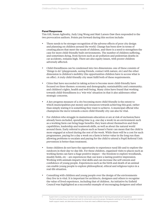Tim Gill, Susan Aglionby, Judy Ling Wong and Matt Larsen-Daw then responded to the two provocation authors. Points put forward during this section include:

- There needs to be stronger recognition of the adverse effects of poor city design and planning on children around the world. Change has been slow in terms of creating places that meet the needs of children, and there is a need to strengthen the case for more child-friendly built environments. The number of children suffering, and sometimes dying, from factors such as air pollution and pedestrian deaths in car accidents, remains high. There are also equity issues, with poorer children adversely affected.
- Child-friendliness can be condensed into two dimensions: one of these consists of 'things to do' (playgrounds, seeing friends, contact with nature, etc) and the other dimension is children's mobility (the opportunities children have to access what is on offer). A truly child-friendly city must fulfil both of these requirements.
- Cities that have succeeded in taking action to become more child-friendly have focused on three themes: economy and demography; sustainability and community; and children's rights, health and well-being. Many cities have found that working towards child-friendliness is a 'win-win' situation in that it also addresses other strategic concerns.
- A key progress measure of a city becoming more child-friendly is the extent to which municipalities put money and resources towards achieving this goal, rather than simply stating it is something they want to achieve. A municipal official who champions the move towards a more child-friendly city can also be vital.
- For children who struggle in mainstream education or are at risk of exclusion/have already been excluded, spending time (e.g. one day a week) in an environment such as a working farm can bring huge benefits: they learn about themselves and their capabilities, leadership and teamwork skills, as well as about the natural world around them. Early referral to places such as Susan's Farm<sup>1</sup> can mean that the child is more engaged at school during the rest of the week. While there will be a cost for such programmes, paying for a day a week on a farm is better value in the long run than allowing problems to escalate and paying for the child to attend a Pupil Referral Unit: prevention is better than treatment.
- Some children do not have the opportunity to experience rural life and to explore the outdoors in their day-to-day life. For these children, organised visits to places such as working farms can have a huge positive impact – the freedom to explore woodlands, muddy fields, etc – are experiences that can leave a lasting positive impression. Working with animals imparts vital skills and can increase the self-esteem and confidence of young people. Experiences such as the birth and death of an animal can enable young people to explore philosophical, ethical and religious topics in a real-life situation.
- Consulting with children and young people over the design of the environments they live in is vital. It is important for architects, designers and others to recognise the value of lived experience, including that of children. An initiative by Enfield Council was highlighted as a successful example of encouraging designers and other

[Susan's Farm](https://www.susansfarm.co.uk/) is a working Care Farm near Carlisle that provides opportunities for learning and practical work experience. The farm's activities focus on educational visits for school and community groups, therapeutic working for those with long term mental health support needs, and alternative provision for those who need a different learning environment.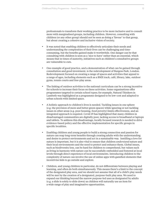professionals to transform their working practice to be more inclusive and to consult more with marginalised groups, including children. However, consulting with children (or any other group) should not be seen as doing a 'favour' to that group, but about creating a cohesive and inclusive vision of society.

- It was noted that enabling children to effectively articulate their needs and understanding the complexities of their lives can be challenging and timeconsuming, but the benefits gained make it worthwhile. One danger can be that consulting with children is seen as a 'nice to have' rather than an essential, which means that in times of austerity, initiatives such as children's consultative groups are vulnerable to cuts.
- One example of good practice, and a demonstration of what can be gained through consultation and good investment, is the redevelopment of Burgess Park, London. Redevelopment focused on creating a range of spaces and activities that appeal to a range of ages, including elements such as a BMX track, café, library, lake, outdoor gyms, tennis courts and free-play areas.
- The linking of outdoor activities to the national curriculum can be a strong incentive for schools to increase their focus on these activities. Some organisations offer programmes targeted to certain school types; for example, Natural Thinkers in Lambeth was highlighted as a programme designed to be low-cost and adapted to urban schools with limited space.
- A holistic approach to children's lives is needed. Tackling issues in one sphere (e.g. the provision of more and better green spaces) while ignoring or not tackling issues in other areas (e.g. poor housing, food poverty) limits effectiveness, and an integrated approach is required. Covid-19 has highlighted that many children in disadvantaged communities are digitally poor, lacking access to broadband or laptops and tablets. To address this disadvantage, locally focused research is needed to drive evidence-based policy and the effective implementation for specific groups in specific localities.
- Enabling children and young people to build a strong connection and passion for nature can reap long-term benefits through creating adults with the understanding and desire to protect environments and act in a sustainable way. Instilling a love for nature is important, but it is also vital to ensure that children *understand* nature and their local environments and the need to protect and enhance them. Global issues, such as biodiversity loss, can be hard for children to comprehend, but values such as living in harmony with nature can be successfully embedded and fostered at local levels through direct experience of local environments. Introducing children to the complexity of nature can involve the use of online apps with gamified elements that incentivise kids to go outside and explore.
- Children, and young children in particular, do not differentiate between playing and learning, and often do both simultaneously. This means there's a limit to the concept of the designated play area, and we should not assume that all of a child's play needs will be met by the creation of a designated, purpose-built play area. We need to expand our thinking beyond the narrow purpose-led uses as designated by adults (e.g. a slide is solely to slide down) as children will naturally use an item for a wide range of play and imaginative opportunities.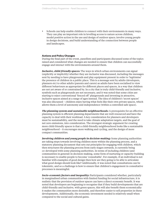Schools can help enable children to connect with their environments in many ways. They can play an important role in levelling access to nature across children, model positive action in the use and design of outdoor space; involve young people in design decisions, and build understanding of the connection between people and landscapes.

#### **Actions and Policy Changes**

During the final part of the event, panellists and participants discussed some of the topics raised and considered what changes are needed to ensure that children can successfully engage and interact with the environments around them.

*Inclusive, child-friendly spaces:* The ways in which urban environments can signal (explicitly or implicitly) whether they are inclusive was discussed, including the messages sent by needing to have playgrounds and play equipment present in order to 'legitimise' the presence of children in a public place. This is a message sent by adults (developers, planners etc) to other adults (parents and carers) as adults have been socialised to view different behaviours as appropriate for different places and spaces, in a way that children are not yet aware of or constrained by. In a city that is truly child-friendly and inclusive, symbols such as playgrounds are not necessary, and it was noted that some cities are starting to reject conventional 'fenced off' playgrounds and investing in attractive, inclusive spaces aimed at a range of ages instead. The idea of children's 'secret spaces' was also discussed – children enjoy having what feels like their own private spaces, which allows them a level of autonomy and independence (within a controlled safe space).

*The planning system and sustainable neighbourhoods: A prerequisite for an effective* planning system is efficient planning departments that are well-resourced and have the capacity to deal with their workload. A key consideration for planners and developers must be sustainability, and the need to take climate adaptation targets, and the goal of net zero emissions, into consideration. The strongest strategic argument for creating more child-friendly spaces is that a child-friendly neighbourhood looks like a sustainable neighbourhood – it encourages more walking and cycling, and the design of more compact communities.

*Involving children and young people in decision-making:* Some planning authorities are taking steps towards involving children more within the planning process, and a statutory planning document that sets out principles for engaging with children, which then structures the planning process from early stages onwards, is currently being co-developed with some planning authorities. In terms of including children (and communities in general) in decision-making, some form of nurturing or capacity-building is necessary to enable people to become 'consultable'. For example, if an individual is not familiar with examples of good design then how are they going to be able to articulate what good design should look like? Additionally, it was noted that consultations can be tokenistic, and so a challenge is how to ensure that children's engagement in consultative processes is meaningful.

*Socio-economic factors and inequality:* Participants considered whether, particularly in marginalised urban communities with limited funding for social infrastructure, it is realistic that the provision of outdoor spaces can have a direct economic benefit. It was noted that developers are beginning to recognise that if they build developments that are child-friendly and inclusive, with green spaces, this will also benefit them economically: it makes the communities more desirable, and therefore easier to sell properties in these developments. Additionally, the economic investment needed is relatively small when compared to the social and cultural gains.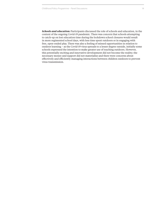*Schools and education:* Participants discussed the role of schools and education, in the context of the ongoing Covid-19 pandemic. There was concern that schools attempting to catch-up on lost education time during the lockdown school closures would result in more regimented school days, with less time spent outdoors or in engaging with free, open-ended play. There was also a feeling of missed opportunities in relation to outdoor learning – as the Covid-19 virus spreads to a lesser degree outside, initially some schools expressed the intention to make greater use of teaching outdoors. However, this potentially exciting and innovative development did not become the reality; the necessary money and support did not materialise and there were concerns about effectively and efficiently managing interactions between children outdoors to prevent virus transmission.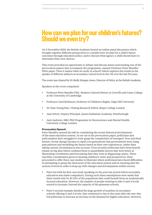### <span id="page-14-0"></span>**How can we plan for our children's futures? Should we even try?**

On 5 November 2020, the British Academy hosted an online panel discussion which brought together different perspectives to consider how we plan for a child's future outcomes through education policy, and to discuss what agency a child should have to determine their own choices.

This event provided an opportunity to debate and discuss issues surrounding one of the provocation papers that accompany the programme, namely Professor Peter Mandler FBA's paper 'Does it matter what we study in school? which explores the trends in the uptake of different subjects at secondary school level in the UK over the last 50 years.

The event was chaired by Dr Molly Morgan Jones, Director of Policy at the British Academy.

Speakers at the event comprised:

- Professor Peter Mandler FBA, Modern Cultural History at Gonville and Caius College, at the University of Cambridge.
- Professor Carol Robinson, Professor of Children's Rights, Edge Hill University
- Dr Chae-Young Kim, Visiting Research Fellow, King's College London
- Jane Driver, Deputy Principal, Queen Katharine Academy, Peterborough
- Jack Andrews, MRC PhD Programme in Neuroscience and Mental Health, University College London

### **Provocation Speech**

Peter Mandler opened his talk by considering the recent historical development of the mass education system. As set out in his provocation paper, politicians and policymakers have struggled to truly grasp the complexities of teenagers' lives and their futures. Social change became so rapid over generations that governments were using past patterns and modelling the future based on their own experiences, rather than taking current circumstances into account. Even recently politicians have been heavily reliant on big data which confined them to quantifiable factors that were better at illustrating correlations and forecasting than they were at diagnosing causes. There was little consideration given to hearing children's views and perspectives. Peter proceeded to offer three case studies to illustrate where politicians have faced difficulties in attempting to grasp the intricacies of the education system and in ensuring that the system evolved in order to keep up with changes and developments within society.

- Peter led with his first case study speaking on the post war period where secondary education was made compulsory. During such times assumptions were made that there would only be 20-25% of the population that could benefit from an academically focused education. However, the number of people wanting to take O and A levels started to increase, beyond the capacity of the grammar schools.
- Peter's second example detailed the huge growth of numbers in secondary schools offering O and A levels, that continued to rise in the years after the war: this led politicians to forecast an increase in the demand for higher education. However,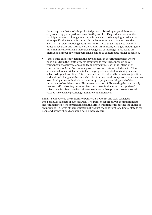the survey data that was being collected proved misleading as politicians were only collecting participation rates of 18–19-year olds. They did not measure the participation rate of older generations who were also taking up higher education. More specifically, Peter points towards the larger numbers of women over the age of 19 that were not being accounted for. He noted that attitudes to women's education, careers and futures were changing dramatically. Changes including the drop in family sizes and an increased average age of marriage raised led to an increasing number of women being in a position to contemplate higher education.

Peter's third case study detailed the development in government policy where politicians from the 1960s onwards attempted to steer larger proportions of young people to study science and technology subjects, with the intention of contributing to Britain's economic growth. However, this intended rise in STEM study failed to materialise, and in fact the proportion of students taking science subjects dropped over time. Peter discussed how this should be seen in conjunction with cultural changes at the time which led to some reactions against science, and an assertion by some individuals of the valuing of people over things and of the importance of social relations. This new orientation of discovering the relationship between self and society became a key component in the increasing uptake of subjects such as biology which allowed students to then progress to study social science subjects like psychology at higher education level.

Finally, Peter covered the reasons for politicians not to try and steer teenagers into particular subjects or subject areas. The Dainton report of 1968 commissioned to steer students to science praised instead the British tradition of respecting the choice of an individual in terms of their education. It was not thought right for a liberal state to tell people what they should or should not do in this regard.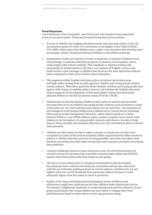#### **Panel Responses**

Carol Robinson, Chae-Young Kim, Jane Driver and Jack Andrews then responded to the provocation author. Points put forward during this section include:

- A focus on whether the English education system and education policy in the UK incorporates article 29 of the UN Convention on the Rights of the Child (UNCRC) (UN, 1989), which states that children have a right to an education that develops their personality, talents, mental and physical abilities to their fullest potential.
- Examination results are used for a variety of purposes: to measure children's level of knowledge; to indicate individual progress; to measure school quality; and to create league table school rankings. This emphasis on rigorous testing, and particularly on achievements in the three core subjects of English, science and maths sends a clear message to children that these are the most important subjects, when compared to other areas of their school education.
- The emphasis within English education policy on limited curriculum areas and high-stakes testing from an early age steer children and young people towards certain subjects. This raises questions about whether children and young people have agency with respect to making subject choices, and whether the English education system supports the development of their personality, talents and mental and physical abilities to the full as stated in article 29 of the UNCRC.
- Adjustments of interests during childhood and youth are natural and inevitable processes that occur as children and young people construct and reconstruct a sense of who they are. Yet, their interests and choices are not value-free. The formation of and changes in both during childhood are influenced by various factors including their socioeconomic background. Therefore, rather than focusing on a choice between STEM vs. non-STEM subjects, policy needs to consider more closely what influences the formation of young people's interests and choices, in order to help them to better identify and maintain what they are truly interested in and to cultivate their potential.
- Children are often aware of what it takes to pursue a certain area of study or an occupation in terms of the level of academic ability required and the effort needed to achieve it. Within what they perceive as being possible, they form and adjust their interests and preferences and make unconscious and conscious decisions concerning their pathways.
- Common challenges faced by many educators in the UK stem from pressure for schools to focus on outcomes that contribute towards league tables and OFSTED reports which have historically been based on raw grades.
- The move in curriculum policy to Progress 8/Attainment 8 and the English Baccalaureate led to schools narrowing the curriculum and are also associated with the use of harsher grading systems in certain subjects. Children who are not highest achievers can be dissuaded from particular subjects because it could ultimately impact how the school is rated or perceived.
- Studies of the brain and behavioural development across childhood and adolescence might have implications for how children make educational choices. For instance, heightened sensitivity to social risk/rejection and the influence of peer group norms mean that young children are more likely to change their views and behaviours based on what others in their age group are doing.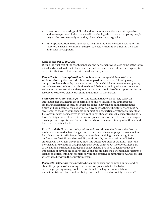- It was noted that during childhood and into adolescence there are introspective and metacognitive abilities that are still developing which means that young people may not be certain exactly what they like or what they are good at.
- • Early specialisation in the national curriculum hinders adolescent exploration and therefore can lead to children taking on subjects without fully pursuing their self and social development.

#### **Actions and Policy Changes**

During the final part of the event, panellists and participants discussed some of the topics raised and considered what changes are needed to ensure than children have agency to determine their own choices within the education system.

*Education based on exploration:* Schools must encourage children to take on subjects driven by their curiosity, interest, or passion rather than following solely on rigorous demands set by the national curriculum which focus on outcomes, grading and achievement. Schools and children should feel supported by education policy in embracing more creativity and exploration and they should be offered opportunities and resources to develop creative art skills and flourish in these areas.

*Children's voice and participation:* It is essential that we do not rely solely on large databases that tell us about correlations and not causations. Young people are making decisions as early as 13 that are going to have major implications in the future and can potentially close off certain avenues to them. Therefore, there must be an attempt to speak to young people on subject choice, particularly those younger than 18, to get in-depth perspectives as to why children choose their subjects for GCSE and A level. Participation of children in education policy is key; we need to listen to teenagers' own hopes and expectations for the future and ask them more directly what they would like to see in their schools.

*Practical skills:* Education policymakers and practitioners should consider that the modern labour market has changed and that many graduate employers are not looking for subject specific skills but, rather, young students with high levels of cognitive performance, flexibility and trainability. Additionally, the practicalities of life that children will inevitably face as they grow into adulthood, such as banking, taxes, and mortgages, are something that policymakers could think about incorporating as part of the national curriculum. Education policymakers also need to acknowledge the importance of developing children and young people's life skills including, for example resilience, critical thinking, problem solving and effective communication, and consider where these fit within the education system.

*Purposeful schooling:* there needs to be a more concise and common understanding about the purposes of schooling from education policy. What is the balance between preparing young people to contribute to the large economy /labour market, individual choice and wellbeing, and the betterment of society as a whole?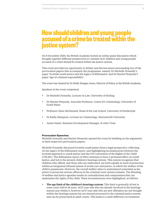### <span id="page-18-0"></span>**How should children and young people accused of a crime be treated within the justice system?**

On 8 December 2020, the British Academy hosted an online panel discussion which brought together different perspectives to consider how children and young people accused of a crime should be treated within the justice system.

This event provided an opportunity to debate and discuss issues surrounding two of the provocation papers that accompany the programme, namely Dr Michelle Donnelly's paper 'Scottish youth justice and the legacy of Kilbrandon' and Dr Harriet Pierpoint's paper ['A](https://medium.com/reframing-childhood-past-and-present/outpaced-by-technology-ee9747b9d727)ge of criminal responsibility'.

The event was chaired by Dr Molly Morgan Jones, Director of Policy at the British Academy.

Speakers at the event comprised:

- Dr Michelle Donnelly, Lecturer in Law, University of Stirling
- Dr Harriet Pierpoint, Associate Professor, Centre for Criminology, University of South Wales
- • Professor Claire McDiarmid, Head of the Law School, University of Strathclyde
- Dr Kathy Hampson, Lecturer in Criminology, Aberystwyth University
- Junior Smart, Business Development Manager, St Giles Trust

### **Provocation Speeches**

Michelle Donnelly and Harriet Pierpoint opened the event by building on the arguments in their respective provocation papers.

Michelle Donnelly discussed Scottish youth justice from a legal perspective, reflecting on the legacy of the Kilbrandon report, and highlighting inconsistencies between the Scottish approach to youth justice and the UN Convention of the Rights of the Child (UNCRC). The Kilbrandon report of 1964 continues to have a profound effect on youth justice, and led to the present children's hearings system. This system recognises that children who offend, and those who are maltreated, are both equally in need of protection within an integrated tribunal system of youth care and justice, in which the welfare of the child is paramount. However, the overall welfare ethos is undermined somewhat as the power to prosecute serious offences in the criminal court system remains. The blending of welfare and justice agendas results in contradictions and compromises that can undermine the rights of the child. Three inconsistencies were highlighted, as follows:

**The age limit of the children's hearings system:** This limit is generally 16 but in some cases will be 18 years. 16/17 year olds who are already involved in the hearings system stay within it, however 16/17 year olds who are new offenders are not brought within the hearings system but are instead processed in the criminal justice system and can be prosecuted in adult courts. This leads to a stark difference in treatment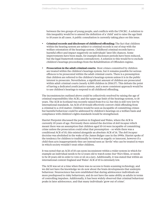between the two groups of young people, and conflicts with the UNCRC. A solution to this inequality would be to amend the definition of a 'child' and to raise the age limit to 18 years in all cases. A public consultation is currently taking place on this issue.

- • **Criminal records and disclosure of childhood offending:** The fact that children within the hearing system are subject to criminal records is out of step with the welfare orientation of the hearings system. Childhood criminal records have a harmful effect and impact negatively on individuals' later life chances. Some improvements have been made, for example disclosure periods have been reduced, but the legal framework remains contradictory. A solution to this would be to exclude children's hearings proceedings from the Rehabilitation of Offenders regime.
- **Prosecution in the adult criminal courts:** Most crimes committed by children are treated within the children's hearings system, but it remains possible for serious offences to be prosecuted within the adult criminal courts. There is a presumption that children are referred to the children's hearings system unless it is in the public interest to prosecute. Nevertheless, a significant amount of children are prosecuted within adult criminal courts (nearly 4,000 children in 2016/17). This defeats the point of having a dedicated youth justice system, and a more consistent approach would be to use children's hearings to respond to all childhood offending.

The inconsistencies outlined above could be collectively resolved by raising the age of criminal responsibility (the ACR), and the upper age limit of the hearings system, to 18 years. The ACR in Scotland was recently raised from 8 to 12, but this is still very low by international standards. An ACR of 18 would effectively convert child offending from a criminal to a civil matter. Children would be seen as incapable of committing crimes but harmful behaviour could be addressed by children's hearings on a welfare basis and compliance with children's rights standards would be strengthened.

Harriet Pierpoint discussed the position in England and Wales, where the ACR is currently 10 years of age. Previously there existed the doctrine of *doli incapax* which meant there was an assumption that children aged 10-14 were incapable of committing crime unless the prosecution could rebut that presumption – so while there was a conditional ACR of 10, this existed alongside an absolute ACR of 14. The *doli incapax* doctrine was abolished in the wake of the James Bulger case in the 1990s. Harriet spoke of the tendency for children to traditionally be viewed as angelic or innocent, however if a child then acts inappropriately they are instead seen as 'devils' who can be treated in ways in which society wouldn't treat other children.

It was noted that an ACR of 10 can seem inconsistent within a wider system in which for example an individual needs to be 12 years old to watch some *Star Wars* films, or needs to be 18 years old in order to vote or sit on a jury. Additionally, it was stated that within an international context England and Wales' ACR of 10 is extremely low.

The ACR was set at a time when there was no access to brain-scanning technology, and we did not have the knowledge we do now about the brain developments that underpin behaviour. Neuroscience has now established that during adolescence individuals are more predisposed to risky behaviours, and do not have the same ability as adults in terms of controlling impulses. Additionally, it has been widely observed that criminal behaviour peaks in later adolescence, and that many individuals 'grow out of crime'.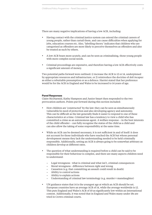There are many negative implications of having a low ACR, including:

- Having contact with the criminal justice system can extend the criminal careers of young people, rather than curtail them, and can cause difficulties when applying for jobs, education courses etc. Also, 'labelling theory' indicates that children who are categorised as offenders are more likely to perceive themselves as offenders and also be treated as such by others.
- A low ACR bears more acutely, and can be seen as criminalising, those young people with more complex social needs.
- Criminal proceedings are expensive, and therefore having a low ACR effectively costs a significant amount of money.

Two potential paths forward were outlined: 1) increase the ACR to 12 or 14, underpinned by appropriate resources and infrastructure, or 2) reintroduce the doctrine of *doli incapax* as either a rebuttable presumption or as a defence. Harriet stated that her preference would be for the ACR in England and Wales to be increased to 14 years of age.

#### **Panel Responses**

Claire McDiarmid, Kathy Hampson and Junior Smart then responded to the two provocation authors. Points put forward during this section included:

- How children are 'constructed' by the law: they can be seen as simultaneously vulnerable/in need of protection and also developing agency and autonomy. This can be difficult as the law generally finds it easier to respond to one of these characteristics at a time. Criminal law has a tendency to view a child who has committed a crime as an autonomous agent. A welfare response – in the best interests of the child offender – can fully recognise the status of the child as a child and can also allow the taking of some responsibility at the same time.
- While an ACR can be deemed necessary, it is not sufficient in and of itself: it does not account for those individuals who have reached the ACR but whose personal development means they lack the understanding needed to be held criminally responsible. Additionally, setting an ACR is always going to be somewhat arbitrary as children develop at different rates.
- The question of what understanding is required before a child can be said to be responsible for their behaviour is complex, and there are many aspects children need to understand:
	- Legal wrongness what is criminal and what isn't, criminal consequences
	- − Moral wrongness difference between right and wrong
	- − Causation (e.g. that committing an assault could result in death)
	- − Ability to control actions
	- − Ability to explain actions
	- − Understanding of criminal law terminology (e.g. murder v manslaughter)
- UN guidance states that 14 is the youngest age at which an ACR should be set. European countries have an average ACR of 14, while the average worldwide is 12. This puts England and Wales's ACR of 10 as significantly low within an international context. Additionally, it was noted that in England and Wales many under 18s are tried in Crown criminal courts.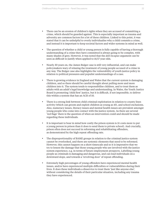- There can be an erosion of children's rights when they are accused of committing a crime, which should be guarded against. This is especially important as trauma and adversity are common factors for a lot of these children. Linked to this point, it was stated that it can be unhelpful to overly individualise why a child commits a crime, and instead it is important to keep societal factors and wider systems in mind as well.
- The question of whether a child or young person is fully capable of having a thorough understanding of a crime they have committed is always going to be complex, with many shades of grey. However, it was noted that the *doli incapax* argument can be seen as difficult to justify when applied to 16/17 year olds.
- Nearly 30 years on, the James Bulger case is still very influential, and can make policymakers wary of relaxing the treatment of young people accused of a crime in any way. The Bulger case also highlights the vulnerability of youth justice policy in relation to political pressures and populist understandings of a case.
- There is growing evidence in England and Wales that the current system is damaging children, and so there should be careful thought about pulling more and more children into it. The system tends to responsibilise children, and to treat them as adults with an adult's legal knowledge and understanding. In Wales, the Youth Justice Board is promoting 'child first' justice, but it is difficult, if not impossible, to deliver this within a system that has an ACR of 10.
- There is a strong link between child criminal exploitation in relation to county lines activity (which can groom and exploit children as young as 10), and school exclusions. Also, numeracy issues, literacy issues and mental health issues are prevalent amongst young people who come into contact with the justice system. As there are several 'red flags' there is the question of when an intervention could and should be made regarding these individuals.
- It is important to bear in mind how costly the prison system is (it costs more to put a young person in prison than it does to send them to private school). And crucially, prison often does not succeed in reforming and rehabilitating offenders, as demonstrated by the high repeat offending rate.
- The disproportionality of BAME groups in relation to the criminal justice system cannot be overlooked, and there are systemic elements that need to be reformed. However, this cannot happen on a short timescale and so it is imperative that we try to lessen the damage that those young people who are involved with the justice system experience, e.g. in terms of future employment prospects. Labelling young people as criminals is damaging and dangerous, and can lead individuals on a downward slope, and towards a 'revolving door' of repeat offending.
- Extremely high percentages of young offenders have experienced mental health issues, and/or have experienced multiple difficulties or vulnerabilities during their lives. It does these individuals a disservice to treat them 'just like anyone else', without considering the details of their particular situation, including any trauma they have experienced.